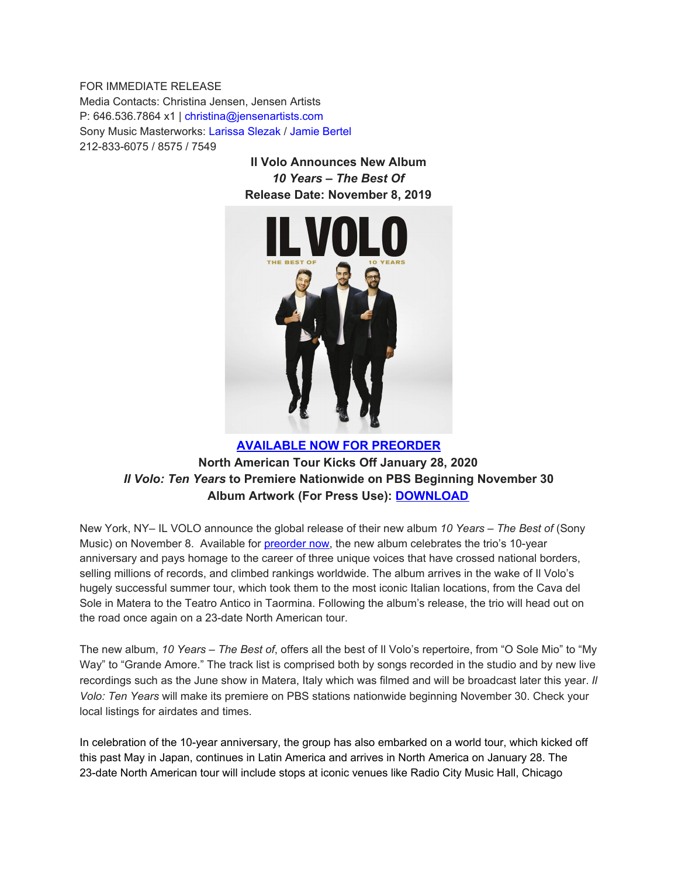FOR IMMEDIATE RELEASE Media Contacts: Christina Jensen, Jensen Artists P: 646.536.7864 x1 | christina@jensenartists.com Sony Music Masterworks: Larissa Slezak / Jamie Bertel 212-833-6075 / 8575 / 7549

> **Il Volo Announces New Album** *10 Years – The Best Of* **Release Date: November 8, 2019**



# **[AVAILABLE](https://u7061146.ct.sendgrid.net/wf/click?upn=G62jSYfZdO-2F12d8lSllQB4Pp5TlsbGkY5nFAW8vEV2PALHWtY8AB8gURs-2FX-2Bm5Ph_DruDjhchMBr5xQkz3h1qcOnjZc-2BCsAVhraQ7DxYhbA2-2BHLQf-2BHKWaWi2FTM7QHo-2Fd7eCMDRMAhfd2mcWSs-2FpzNW9MmuPwV7rH-2FbDd7DdSSbh7Os7kw7M8H4SfbrcO3MuodbFg9FDUkPfLOhXol-2BfsHaZ3aqs6fEa3eKPgj4izIwZW6qaW-2B-2BH311-2BLwM7ScgKAxvwOb-2BXp-2BjpjReLXO2p0qRq2e4-2BnpkNDGTW0nPA06MwncQY2Ny077O3RgKPwLvnlUEDC-2Fu0R4Hbsj-2F1LjSAT4F1AGrx2Onnj9MsUOa0-2FTrBXgawvKNcGIbN9en9qUVgRMTnnEii6AP5JlXdaU2B0Ybc91yGFklckTqoDuzFDP8-3D) NOW FOR PREORDER North American Tour Kicks Off January 28, 2020** *Il Volo: Ten Years* **to Premiere Nationwide on PBS Beginning November 30 Album Artwork (For Press Use): [DOWNLOAD](https://u7061146.ct.sendgrid.net/wf/click?upn=G62jSYfZdO-2F12d8lSllQB44MEM9NBskHoHkGgtQlVgS846PE0N2hzaBTjy2hRpDbWAZBuMcJuOUB45gSKPq2SQ-3D-3D_DruDjhchMBr5xQkz3h1qcOnjZc-2BCsAVhraQ7DxYhbA2-2BHLQf-2BHKWaWi2FTM7QHo-2Fd7eCMDRMAhfd2mcWSs-2FpzNW9MmuPwV7rH-2FbDd7DdSSbh7Os7kw7M8H4SfbrcO3MuodbFg9FDUkPfLOhXol-2BfsHaZ3aqs6fEa3eKPgj4izIwZW6qaW-2B-2BH311-2BLwM7ScgKAxvwOb-2BXp-2BjpjReLXO2p0oXAl3JIIUJ-2BFifQC9dUCc8B-2FHUzXL0nN7QCpQQAgx6CCXJYy-2FJEN3FiB-2BJpPS85wvwp0qDl6nJ3U4GZOHBVow81FeIWEqK8bket2iQAGlGHyxGaILacbNFj-2FCLyp3TDcuG1eaeg64SM3ojRgFwE3QY-3D)**

New York, NY– IL VOLO announce the global release of their new album *10 Years – The Best of* (Sony Music) on November 8. Available for [preorder](https://u7061146.ct.sendgrid.net/wf/click?upn=G62jSYfZdO-2F12d8lSllQB-2B1qnjR5TZj2GA0bmegiL5cc26pU6oQWAh3NiwmZjy-2BX_DruDjhchMBr5xQkz3h1qcOnjZc-2BCsAVhraQ7DxYhbA2-2BHLQf-2BHKWaWi2FTM7QHo-2Fd7eCMDRMAhfd2mcWSs-2FpzNW9MmuPwV7rH-2FbDd7DdSSbh7Os7kw7M8H4SfbrcO3MuodbFg9FDUkPfLOhXol-2BfsHaZ3aqs6fEa3eKPgj4izIwZW6qaW-2B-2BH311-2BLwM7ScgKAxvwOb-2BXp-2BjpjReLXO2p0oAUWUmuCay2vuhMe5Pq1DWpEH5vFjrSd4Eg5Ha2Jdmzo5T0xJNDdnL0cGP9aRIc2fz4C-2BmQevDysJ7iPThSVVt80pI1DdhQjePYLOvURjBDW1jW-2F0FPSoKG8kdi0yq-2BlaxJWnUlWTbg2-2FULN7bucvg-3D) now, the new album celebrates the trio's 10-year anniversary and pays homage to the career of three unique voices that have crossed national borders, selling millions of records, and climbed rankings worldwide. The album arrives in the wake of Il Volo's hugely successful summer tour, which took them to the most iconic Italian locations, from the Cava del Sole in Matera to the Teatro Antico in Taormina. Following the album's release, the trio will head out on the road once again on a 23-date North American tour.

The new album, *10 Years – The Best of*, offers all the best of Il Volo's repertoire, from "O Sole Mio" to "My Way" to "Grande Amore." The track list is comprised both by songs recorded in the studio and by new live recordings such as the June show in Matera, Italy which was filmed and will be broadcast later this year. *Il Volo: Ten Years* will make its premiere on PBS stations nationwide beginning November 30. Check your local listings for airdates and times.

In celebration of the 10-year anniversary, the group has also embarked on a world tour, which kicked off this past May in Japan, continues in Latin America and arrives in North America on January 28. The 23-date North American tour will include stops at iconic venues like Radio City Music Hall, Chicago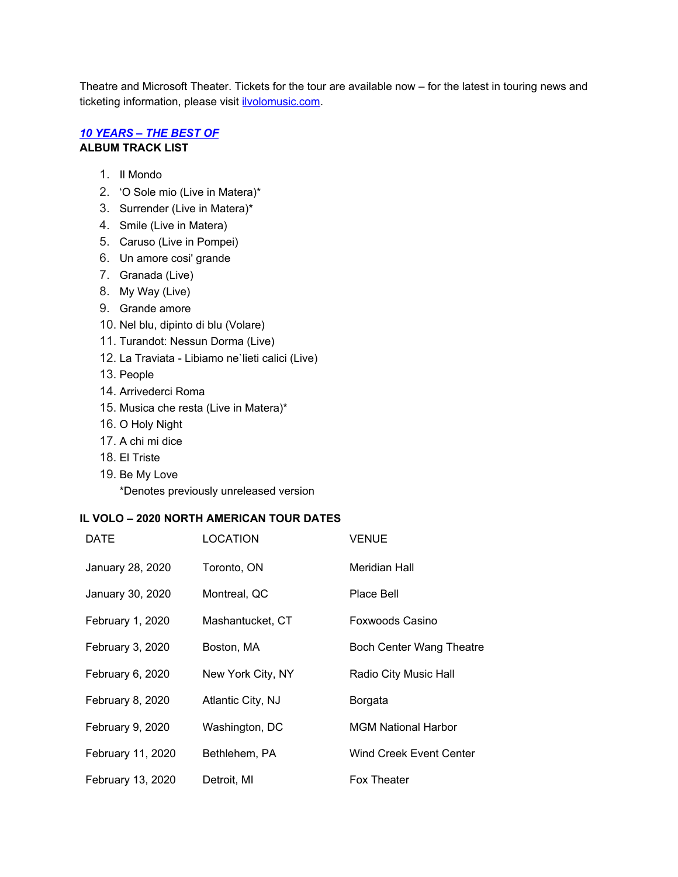Theatre and Microsoft Theater. Tickets for the tour are available now – for the latest in touring news and ticketing information, please visit [ilvolomusic.com.](https://u7061146.ct.sendgrid.net/wf/click?upn=84Em28S1K9SvtzcUtu04EqXMELfWn4HD4-2F4cASFJKdktRwKv7mm6qQqb7V3IquLq_DruDjhchMBr5xQkz3h1qcOnjZc-2BCsAVhraQ7DxYhbA2-2BHLQf-2BHKWaWi2FTM7QHo-2Fd7eCMDRMAhfd2mcWSs-2FpzNW9MmuPwV7rH-2FbDd7DdSSbh7Os7kw7M8H4SfbrcO3MuodbFg9FDUkPfLOhXol-2BfsHaZ3aqs6fEa3eKPgj4izIwZW6qaW-2B-2BH311-2BLwM7ScgKAxvwOb-2BXp-2BjpjReLXO2p0q77sG5UwX2tnW9qlBjGO-2Fg7v8F9oqXBSPY-2B-2BnYJLTT-2FjXArh1RX0lwR7Os3GOsMsz6CLcHHMQ0dUwEDNlkO5Nm1ANTVWSRSYN-2FzvDzgLDjl8NQSNeMQt0bGO0caO3uIUiazN3mk2UBdw0TK2Aig-2BAo-3D)

## *10 [YEARS](https://u7061146.ct.sendgrid.net/wf/click?upn=G62jSYfZdO-2F12d8lSllQB4Pp5TlsbGkY5nFAW8vEV2PALHWtY8AB8gURs-2FX-2Bm5Ph_DruDjhchMBr5xQkz3h1qcOnjZc-2BCsAVhraQ7DxYhbA2-2BHLQf-2BHKWaWi2FTM7QHo-2Fd7eCMDRMAhfd2mcWSs-2FpzNW9MmuPwV7rH-2FbDd7DdSSbh7Os7kw7M8H4SfbrcO3MuodbFg9FDUkPfLOhXol-2BfsHaZ3aqs6fEa3eKPgj4izIwZW6qaW-2B-2BH311-2BLwM7ScgKAxvwOb-2BXp-2BjpjReLXO2p0mF6B9DlHRgothGtXNX4sw5Z5qB-2FgvrlJLD3r9kdpLcNpBzflPJ0idUX-2BKpg1C8tZHANwQdtyit2MEKJQ7t6P4kQ5OMDm3VmYQR4Wq738tjw2TOD5vqydQ6lOt8cKjoef-2ByM8u1DbCjQ6c7IAHWN6CI-3D) – THE BEST OF* **ALBUM TRACK LIST**

- 1. Il Mondo
- 2. 'O Sole mio (Live in Matera)\*
- 3. Surrender (Live in Matera)\*
- 4. Smile (Live in Matera)
- 5. Caruso (Live in Pompei)
- 6. Un amore cosi' grande
- 7. Granada (Live)
- 8. My Way (Live)
- 9. Grande amore
- 10. Nel blu, dipinto di blu (Volare)
- 11. Turandot: Nessun Dorma (Live)
- 12. La Traviata Libiamo ne`lieti calici (Live)
- 13. People
- 14. Arrivederci Roma
- 15. Musica che resta (Live in Matera)\*
- 16. O Holy Night
- 17. A chi mi dice
- 18. El Triste
- 19. Be My Love

\*Denotes previously unreleased version

### **IL VOLO – 2020 NORTH AMERICAN TOUR DATES**

| DATE              | LOCATION          | <b>VENUE</b>               |
|-------------------|-------------------|----------------------------|
| January 28, 2020  | Toronto, ON       | Meridian Hall              |
| January 30, 2020  | Montreal, QC      | Place Bell                 |
| February 1, 2020  | Mashantucket, CT  | Foxwoods Casino            |
| February 3, 2020  | Boston, MA        | Boch Center Wang Theatre   |
| February 6, 2020  | New York City, NY | Radio City Music Hall      |
| February 8, 2020  | Atlantic City, NJ | Borgata                    |
| February 9, 2020  | Washington, DC    | <b>MGM National Harbor</b> |
| February 11, 2020 | Bethlehem, PA     | Wind Creek Event Center    |
| February 13, 2020 | Detroit, MI       | Fox Theater                |